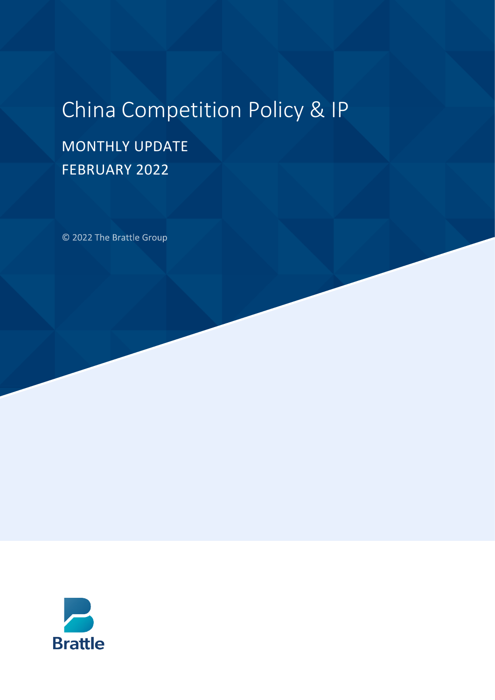# China Competition Policy & IP

## MONTHLY UPDATE FEBRUARY 2022

© 2022 The Brattle Group

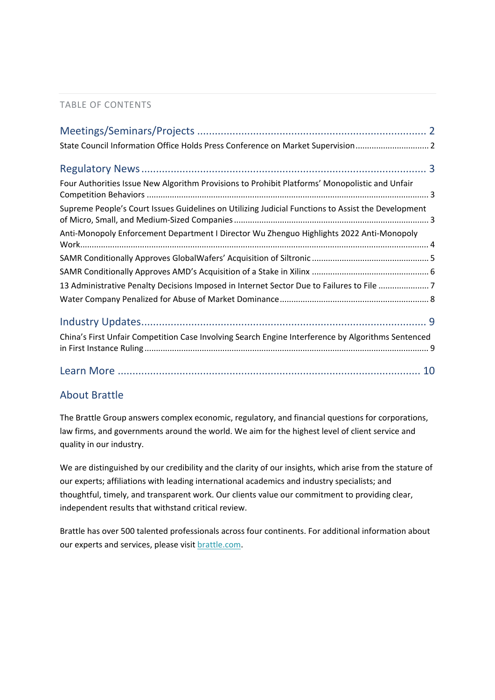#### TABLE OF CONTENTS

| State Council Information Office Holds Press Conference on Market Supervision 2                    |
|----------------------------------------------------------------------------------------------------|
|                                                                                                    |
| Four Authorities Issue New Algorithm Provisions to Prohibit Platforms' Monopolistic and Unfair     |
| Supreme People's Court Issues Guidelines on Utilizing Judicial Functions to Assist the Development |
| Anti-Monopoly Enforcement Department I Director Wu Zhenguo Highlights 2022 Anti-Monopoly           |
|                                                                                                    |
|                                                                                                    |
| 13 Administrative Penalty Decisions Imposed in Internet Sector Due to Failures to File 7           |
|                                                                                                    |
|                                                                                                    |
| China's First Unfair Competition Case Involving Search Engine Interference by Algorithms Sentenced |
|                                                                                                    |

#### About Brattle

The Brattle Group answers complex economic, regulatory, and financial questions for corporations, law firms, and governments around the world. We aim for the highest level of client service and quality in our industry.

We are distinguished by our credibility and the clarity of our insights, which arise from the stature of our experts; affiliations with leading international academics and industry specialists; and thoughtful, timely, and transparent work. Our clients value our commitment to providing clear, independent results that withstand critical review.

Brattle has over 500 talented professionals across four continents. For additional information about our experts and services, please visi[t brattle.com.](https://www.brattle.com/)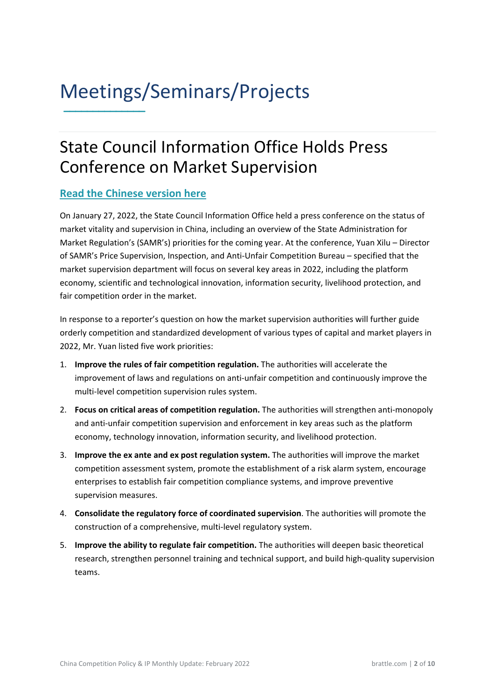### <span id="page-2-0"></span>Meetings/Seminars/Projects **\_\_\_\_\_\_\_\_\_\_\_\_\_\_**

### <span id="page-2-1"></span>State Council Information Office Holds Press Conference on Market Supervision

#### **[Read the Chinese version here](https://www.samr.gov.cn/xw/xwfbt/202201/t20220127_339429.html)**

On January 27, 2022, the State Council Information Office held a press conference on the status of market vitality and supervision in China, including an overview of the State Administration for Market Regulation's (SAMR's) priorities for the coming year. At the conference, Yuan Xilu – Director of SAMR's Price Supervision, Inspection, and Anti-Unfair Competition Bureau – specified that the market supervision department will focus on several key areas in 2022, including the platform economy, scientific and technological innovation, information security, livelihood protection, and fair competition order in the market.

In response to a reporter's question on how the market supervision authorities will further guide orderly competition and standardized development of various types of capital and market players in 2022, Mr. Yuan listed five work priorities:

- 1. **Improve the rules of fair competition regulation.** The authorities will accelerate the improvement of laws and regulations on anti-unfair competition and continuously improve the multi-level competition supervision rules system.
- 2. **Focus on critical areas of competition regulation.** The authorities will strengthen anti-monopoly and anti-unfair competition supervision and enforcement in key areas such as the platform economy, technology innovation, information security, and livelihood protection.
- 3. **Improve the ex ante and ex post regulation system.** The authorities will improve the market competition assessment system, promote the establishment of a risk alarm system, encourage enterprises to establish fair competition compliance systems, and improve preventive supervision measures.
- 4. **Consolidate the regulatory force of coordinated supervision**. The authorities will promote the construction of a comprehensive, multi-level regulatory system.
- 5. **Improve the ability to regulate fair competition.** The authorities will deepen basic theoretical research, strengthen personnel training and technical support, and build high-quality supervision teams.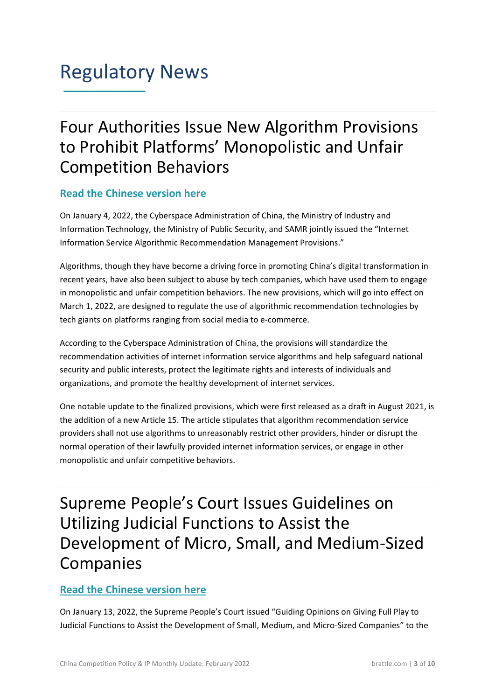### <span id="page-3-0"></span>Regulatory News **\_\_\_\_\_\_\_\_\_\_\_\_\_\_**

### <span id="page-3-1"></span>Four Authorities Issue New Algorithm Provisions to Prohibit Platforms' Monopolistic and Unfair Competition Behaviors

#### **[Read the Chinese version here](http://www.cac.gov.cn/2022-01/04/c_1642894606364259.htm)**

On January 4, 2022, the Cyberspace Administration of China, the Ministry of Industry and Information Technology, the Ministry of Public Security, and SAMR jointly issued the "Internet Information Service Algorithmic Recommendation Management Provisions."

Algorithms, though they have become a driving force in promoting China's digital transformation in recent years, have also been subject to abuse by tech companies, which have used them to engage in monopolistic and unfair competition behaviors. The new provisions, which will go into effect on March 1, 2022, are designed to regulate the use of algorithmic recommendation technologies by tech giants on platforms ranging from social media to e-commerce.

According to the Cyberspace Administration of China, the provisions will standardize the recommendation activities of internet information service algorithms and help safeguard national security and public interests, protect the legitimate rights and interests of individuals and organizations, and promote the healthy development of internet services.

One notable update to the finalized provisions, which were first released as a draft in August 2021, is the addition of a new Article 15. The article stipulates that algorithm recommendation service providers shall not use algorithms to unreasonably restrict other providers, hinder or disrupt the normal operation of their lawfully provided internet information services, or engage in other monopolistic and unfair competitive behaviors.

<span id="page-3-2"></span>Supreme People's Court Issues Guidelines on Utilizing Judicial Functions to Assist the Development of Micro, Small, and Medium-Sized Companies

#### **[Read the Chinese version here](https://www.court.gov.cn/fabu-xiangqing-341891.html)**

On January 13, 2022, the Supreme People's Court issued "Guiding Opinions on Giving Full Play to Judicial Functions to Assist the Development of Small, Medium, and Micro-Sized Companies" to the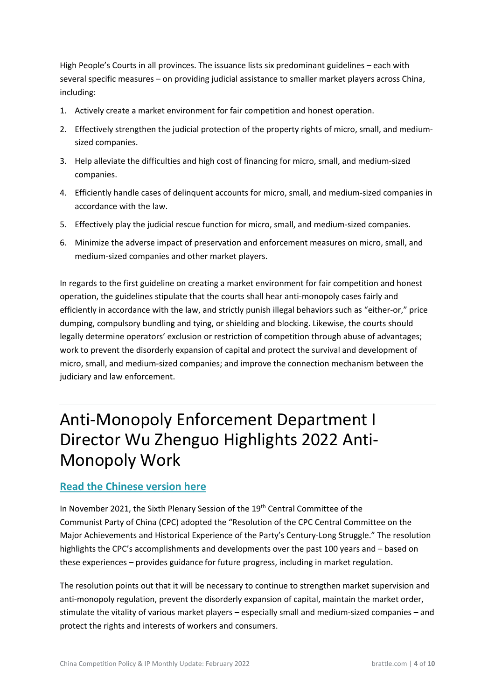High People's Courts in all provinces. The issuance lists six predominant guidelines – each with several specific measures – on providing judicial assistance to smaller market players across China, including:

- 1. Actively create a market environment for fair competition and honest operation.
- 2. Effectively strengthen the judicial protection of the property rights of micro, small, and mediumsized companies.
- 3. Help alleviate the difficulties and high cost of financing for micro, small, and medium-sized companies.
- 4. Efficiently handle cases of delinquent accounts for micro, small, and medium-sized companies in accordance with the law.
- 5. Effectively play the judicial rescue function for micro, small, and medium-sized companies.
- 6. Minimize the adverse impact of preservation and enforcement measures on micro, small, and medium-sized companies and other market players.

In regards to the first guideline on creating a market environment for fair competition and honest operation, the guidelines stipulate that the courts shall hear anti-monopoly cases fairly and efficiently in accordance with the law, and strictly punish illegal behaviors such as "either-or," price dumping, compulsory bundling and tying, or shielding and blocking. Likewise, the courts should legally determine operators' exclusion or restriction of competition through abuse of advantages; work to prevent the disorderly expansion of capital and protect the survival and development of micro, small, and medium-sized companies; and improve the connection mechanism between the judiciary and law enforcement.

### <span id="page-4-0"></span>Anti-Monopoly Enforcement Department I Director Wu Zhenguo Highlights 2022 Anti-Monopoly Work

#### **[Read the Chinese version here](http://k.sina.com.cn/article_3686739204_dbbf2d040190131oa.html)**

In November 2021, the Sixth Plenary Session of the 19<sup>th</sup> Central Committee of the Communist Party of China (CPC) adopted the "Resolution of the CPC Central Committee on the Major Achievements and Historical Experience of the Party's Century-Long Struggle." The resolution highlights the CPC's accomplishments and developments over the past 100 years and – based on these experiences – provides guidance for future progress, including in market regulation.

The resolution points out that it will be necessary to continue to strengthen market supervision and anti-monopoly regulation, prevent the disorderly expansion of capital, maintain the market order, stimulate the vitality of various market players – especially small and medium-sized companies – and protect the rights and interests of workers and consumers.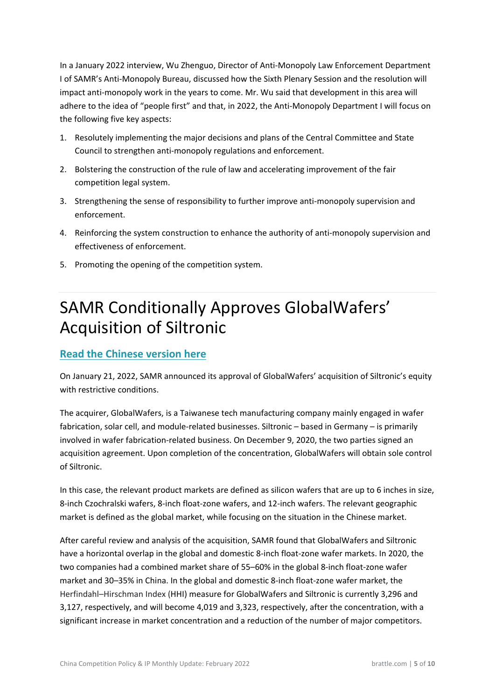In a January 2022 interview, Wu Zhenguo, Director of Anti-Monopoly Law Enforcement Department I of SAMR's Anti-Monopoly Bureau, discussed how the Sixth Plenary Session and the resolution will impact anti-monopoly work in the years to come. Mr. Wu said that development in this area will adhere to the idea of "people first" and that, in 2022, the Anti-Monopoly Department I will focus on the following five key aspects:

- 1. Resolutely implementing the major decisions and plans of the Central Committee and State Council to strengthen anti-monopoly regulations and enforcement.
- 2. Bolstering the construction of the rule of law and accelerating improvement of the fair competition legal system.
- 3. Strengthening the sense of responsibility to further improve anti-monopoly supervision and enforcement.
- 4. Reinforcing the system construction to enhance the authority of anti-monopoly supervision and effectiveness of enforcement.
- <span id="page-5-0"></span>5. Promoting the opening of the competition system.

## SAMR Conditionally Approves GlobalWafers' Acquisition of Siltronic

#### **[Read the Chinese version here](https://www.samr.gov.cn/fldj/tzgg/ftjpz/202201/t20220121_339322.html)**

On January 21, 2022, SAMR announced its approval of GlobalWafers' acquisition of Siltronic's equity with restrictive conditions.

The acquirer, GlobalWafers, is a Taiwanese tech manufacturing company mainly engaged in wafer fabrication, solar cell, and module-related businesses. Siltronic – based in Germany – is primarily involved in wafer fabrication-related business. On December 9, 2020, the two parties signed an acquisition agreement. Upon completion of the concentration, GlobalWafers will obtain sole control of Siltronic.

In this case, the relevant product markets are defined as silicon wafers that are up to 6 inches in size, 8-inch Czochralski wafers, 8-inch float-zone wafers, and 12-inch wafers. The relevant geographic market is defined as the global market, while focusing on the situation in the Chinese market.

After careful review and analysis of the acquisition, SAMR found that GlobalWafers and Siltronic have a horizontal overlap in the global and domestic 8-inch float-zone wafer markets. In 2020, the two companies had a combined market share of 55–60% in the global 8-inch float-zone wafer market and 30–35% in China. In the global and domestic 8-inch float-zone wafer market, the Herfindahl–Hirschman Index (HHI) measure for GlobalWafers and Siltronic is currently 3,296 and 3,127, respectively, and will become 4,019 and 3,323, respectively, after the concentration, with a significant increase in market concentration and a reduction of the number of major competitors.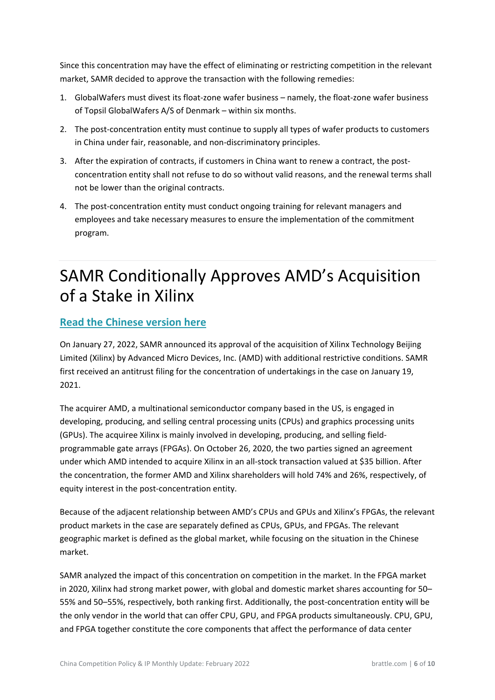Since this concentration may have the effect of eliminating or restricting competition in the relevant market, SAMR decided to approve the transaction with the following remedies:

- 1. GlobalWafers must divest its float-zone wafer business namely, the float-zone wafer business of Topsil GlobalWafers A/S of Denmark – within six months.
- 2. The post-concentration entity must continue to supply all types of wafer products to customers in China under fair, reasonable, and non-discriminatory principles.
- 3. After the expiration of contracts, if customers in China want to renew a contract, the postconcentration entity shall not refuse to do so without valid reasons, and the renewal terms shall not be lower than the original contracts.
- 4. The post-concentration entity must conduct ongoing training for relevant managers and employees and take necessary measures to ensure the implementation of the commitment program.

## <span id="page-6-0"></span>SAMR Conditionally Approves AMD's Acquisition of a Stake in Xilinx

### **[Read the Chinese version here](https://www.samr.gov.cn/fldj/tzgg/ftjpz/202201/t20220127_339441.html)**

On January 27, 2022, SAMR announced its approval of the acquisition of Xilinx Technology Beijing Limited (Xilinx) by Advanced Micro Devices, Inc. (AMD) with additional restrictive conditions. SAMR first received an antitrust filing for the concentration of undertakings in the case on January 19, 2021.

The acquirer AMD, a multinational semiconductor company based in the US, is engaged in developing, producing, and selling central processing units (CPUs) and graphics processing units (GPUs). The acquiree Xilinx is mainly involved in developing, producing, and selling fieldprogrammable gate arrays (FPGAs). On October 26, 2020, the two parties signed an agreement under which AMD intended to acquire Xilinx in an all-stock transaction valued at \$35 billion. After the concentration, the former AMD and Xilinx shareholders will hold 74% and 26%, respectively, of equity interest in the post-concentration entity.

Because of the adjacent relationship between AMD's CPUs and GPUs and Xilinx's FPGAs, the relevant product markets in the case are separately defined as CPUs, GPUs, and FPGAs. The relevant geographic market is defined as the global market, while focusing on the situation in the Chinese market.

SAMR analyzed the impact of this concentration on competition in the market. In the FPGA market in 2020, Xilinx had strong market power, with global and domestic market shares accounting for 50– 55% and 50–55%, respectively, both ranking first. Additionally, the post-concentration entity will be the only vendor in the world that can offer CPU, GPU, and FPGA products simultaneously. CPU, GPU, and FPGA together constitute the core components that affect the performance of data center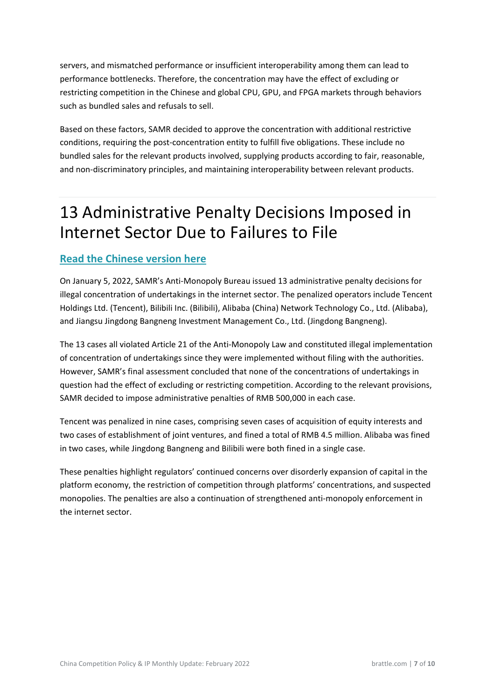servers, and mismatched performance or insufficient interoperability among them can lead to performance bottlenecks. Therefore, the concentration may have the effect of excluding or restricting competition in the Chinese and global CPU, GPU, and FPGA markets through behaviors such as bundled sales and refusals to sell.

Based on these factors, SAMR decided to approve the concentration with additional restrictive conditions, requiring the post-concentration entity to fulfill five obligations. These include no bundled sales for the relevant products involved, supplying products according to fair, reasonable, and non-discriminatory principles, and maintaining interoperability between relevant products.

### <span id="page-7-0"></span>13 Administrative Penalty Decisions Imposed in Internet Sector Due to Failures to File

### **[Read the Chinese version here](http://k.sina.com.cn/article_5044281310_12ca99fde02001qipq.html)**

On January 5, 2022, SAMR's Anti-Monopoly Bureau issued 13 administrative penalty decisions for illegal concentration of undertakings in the internet sector. The penalized operators include Tencent Holdings Ltd. (Tencent), Bilibili Inc. (Bilibili), Alibaba (China) Network Technology Co., Ltd. (Alibaba), and Jiangsu Jingdong Bangneng Investment Management Co., Ltd. (Jingdong Bangneng).

The 13 cases all violated Article 21 of the Anti-Monopoly Law and constituted illegal implementation of concentration of undertakings since they were implemented without filing with the authorities. However, SAMR's final assessment concluded that none of the concentrations of undertakings in question had the effect of excluding or restricting competition. According to the relevant provisions, SAMR decided to impose administrative penalties of RMB 500,000 in each case.

Tencent was penalized in nine cases, comprising seven cases of acquisition of equity interests and two cases of establishment of joint ventures, and fined a total of RMB 4.5 million. Alibaba was fined in two cases, while Jingdong Bangneng and Bilibili were both fined in a single case.

These penalties highlight regulators' continued concerns over disorderly expansion of capital in the platform economy, the restriction of competition through platforms' concentrations, and suspected monopolies. The penalties are also a continuation of strengthened anti-monopoly enforcement in the internet sector.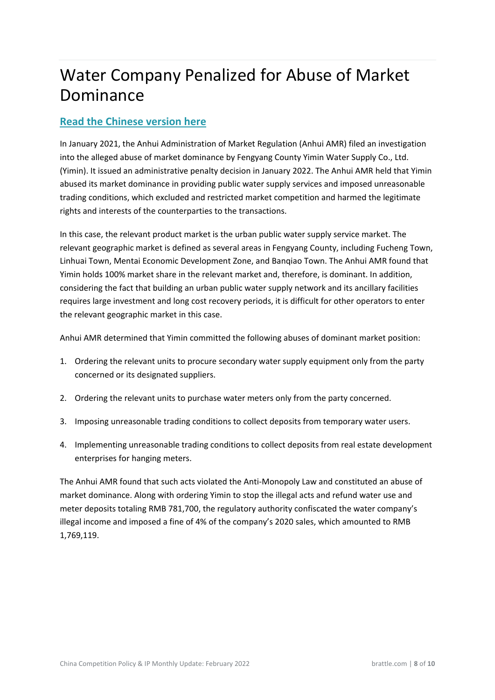## <span id="page-8-0"></span>Water Company Penalized for Abuse of Market Dominance

#### **[Read the Chinese version here](https://www.samr.gov.cn/fldj/tzgg/xzcf/202202/t20220210_339643.html)**

In January 2021, the Anhui Administration of Market Regulation (Anhui AMR) filed an investigation into the alleged abuse of market dominance by Fengyang County Yimin Water Supply Co., Ltd. (Yimin). It issued an administrative penalty decision in January 2022. The Anhui AMR held that Yimin abused its market dominance in providing public water supply services and imposed unreasonable trading conditions, which excluded and restricted market competition and harmed the legitimate rights and interests of the counterparties to the transactions.

In this case, the relevant product market is the urban public water supply service market. The relevant geographic market is defined as several areas in Fengyang County, including Fucheng Town, Linhuai Town, Mentai Economic Development Zone, and Banqiao Town. The Anhui AMR found that Yimin holds 100% market share in the relevant market and, therefore, is dominant. In addition, considering the fact that building an urban public water supply network and its ancillary facilities requires large investment and long cost recovery periods, it is difficult for other operators to enter the relevant geographic market in this case.

Anhui AMR determined that Yimin committed the following abuses of dominant market position:

- 1. Ordering the relevant units to procure secondary water supply equipment only from the party concerned or its designated suppliers.
- 2. Ordering the relevant units to purchase water meters only from the party concerned.
- 3. Imposing unreasonable trading conditions to collect deposits from temporary water users.
- 4. Implementing unreasonable trading conditions to collect deposits from real estate development enterprises for hanging meters.

The Anhui AMR found that such acts violated the Anti-Monopoly Law and constituted an abuse of market dominance. Along with ordering Yimin to stop the illegal acts and refund water use and meter deposits totaling RMB 781,700, the regulatory authority confiscated the water company's illegal income and imposed a fine of 4% of the company's 2020 sales, which amounted to RMB 1,769,119.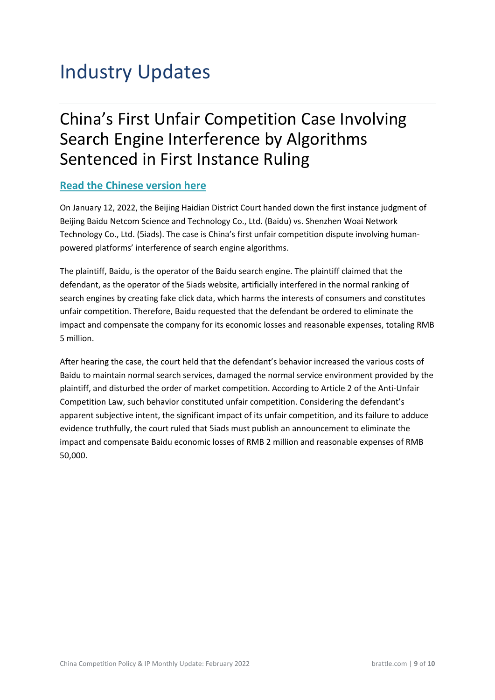## <span id="page-9-1"></span><span id="page-9-0"></span>Industry Updates

### China's First Unfair Competition Case Involving Search Engine Interference by Algorithms Sentenced in First Instance Ruling

### **[Read the Chinese version here](https://bjhdfy.chinacourt.gov.cn/article/detail/2022/01/id/6483436.shtml)**

On January 12, 2022, the Beijing Haidian District Court handed down the first instance judgment of Beijing Baidu Netcom Science and Technology Co., Ltd. (Baidu) vs. Shenzhen Woai Network Technology Co., Ltd. (5iads). The case is China's first unfair competition dispute involving humanpowered platforms' interference of search engine algorithms.

The plaintiff, Baidu, is the operator of the Baidu search engine. The plaintiff claimed that the defendant, as the operator of the 5iads website, artificially interfered in the normal ranking of search engines by creating fake click data, which harms the interests of consumers and constitutes unfair competition. Therefore, Baidu requested that the defendant be ordered to eliminate the impact and compensate the company for its economic losses and reasonable expenses, totaling RMB 5 million.

After hearing the case, the court held that the defendant's behavior increased the various costs of Baidu to maintain normal search services, damaged the normal service environment provided by the plaintiff, and disturbed the order of market competition. According to Article 2 of the Anti-Unfair Competition Law, such behavior constituted unfair competition. Considering the defendant's apparent subjective intent, the significant impact of its unfair competition, and its failure to adduce evidence truthfully, the court ruled that 5iads must publish an announcement to eliminate the impact and compensate Baidu economic losses of RMB 2 million and reasonable expenses of RMB 50,000.